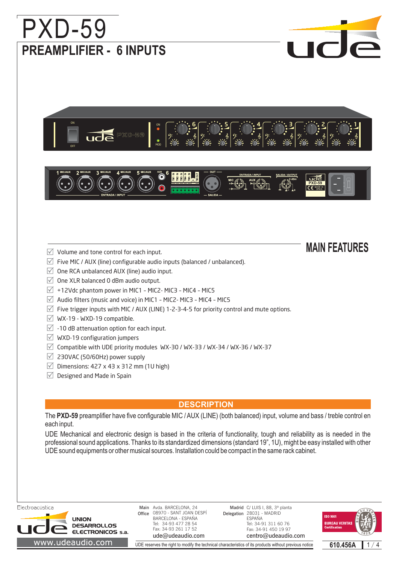

UDE reserves the right to modify the technical characteristics of its products without previous notice

**610.456A** 1 1 / 4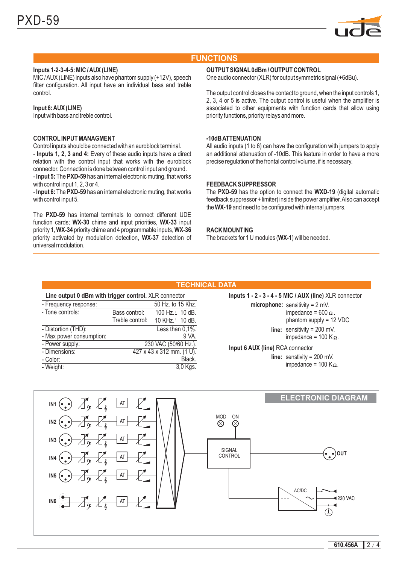

## **FUNCTIONS**

## **Inputs 1-2-3-4-5: MIC /AUX (LINE)**

MIC /AUX (LINE) inputs also have phantom supply (+12V), speech filter configuration. All input have an individual bass and treble control.

#### **Input 6:AUX (LINE)**

Input with bass and treble control.

### **CONTROL INPUT MANAGMENT**

**Inputs 1, 2, 3 and 4:** - Every of these audio inputs have a direct - Input 5: The PXD-59 has an internal electronic muting, that works Control inputs should be connected with an euroblock terminal. relation with the control input that works with the euroblock connector. Connection is done between control input and ground. with control input 1, 2, 3 or 4.

- Input 6: The PXD-59 has an internal electronic muting, that works with control input 5.

The PXD-59 has internal terminals to connect different UDE function cards; WX-30 chime and input priorities, WX-33 input priority 1, **WX-34** priority chime and 4 programmable inputs, **WX-36** priority activated by modulation detection, WX-37 detection of universal modulation.

#### **OUTPUT SIGNAL 0dBm / OUTPUT CONTROL**

One audio connector (XLR) for output symmetric signal (+6dBu).

The output control closes the contact to ground, when the input controls 1, 2, 3, 4 or 5 is active. The output control is useful when the amplifier is associated to other equipments with function cards that allow using priority functions, priority relays and more.

#### **-10dBATTENUATION**

All audio inputs (1 to 6) can have the configuration with jumpers to apply an additional attenuation of -10dB. This feature in order to have a more precise regulation of the frontal control volume, if is necessary.

#### **FEEDBACK SUPPRESSOR**

The PXD-59 has the option to connect the WXD-19 (digital automatic the WX-19 and need to be configured with internal jumpers. feedback suppressor + limiter) inside the power amplifier.Also can accept

#### **RACK MOUNTING**

The brackets for 1 U modules (WX-1) will be needed.

#### **TECHNICAL DATA**

#### **Line output 0 dBm with trigger control.** XLR connector

| - Frequency response:    |                           | 50 Hz. to 15 Khz.           |
|--------------------------|---------------------------|-----------------------------|
| - Tone controls:         | Bass control:             | 100 Hz. ± 10 dB.            |
|                          | Treble control:           | 10 KHz. <sup>+</sup> 10 dB. |
| - Distortion (THD):      |                           | Less than 0,1%.             |
| - Max power consumption: |                           | 9 VA.                       |
| - Power supply:          | 230 VAC (50/60 Hz.).      |                             |
| - Dimensions:            | 427 x 43 x 312 mm. (1 U). |                             |
| - Color:                 |                           | Black.                      |
| - Weight:                |                           | 3,0 Kgs.                    |
|                          |                           |                             |

**microphone:** sensitivity = 2 mV. impedance = 600  $\Omega$ . phantom supply = 12 VDC **line:** sensitivity = 200 mV. impedance =  $100$  K  $\Omega$ . **Inputs 1 - 2 - 3 - 4 - 5 MIC / AUX (line)** XLR connector **Input 6 AUX (line)** RCA connector

**line:** senstivity = 200 mV. impedance = 100 K $\Omega$ .

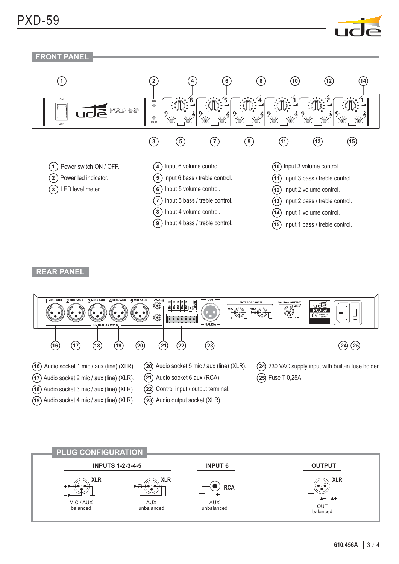## PXD-59





## **REAR PANEL**

MIC / AUX



AUX unbalanced

where the communication of the communication of the communication of the communication of the communication of<br>Distribution of the communication of the communication of the communication of the communication of the commun<br>

AUX unbalanced

610.456A  $3/4$ 

balanced